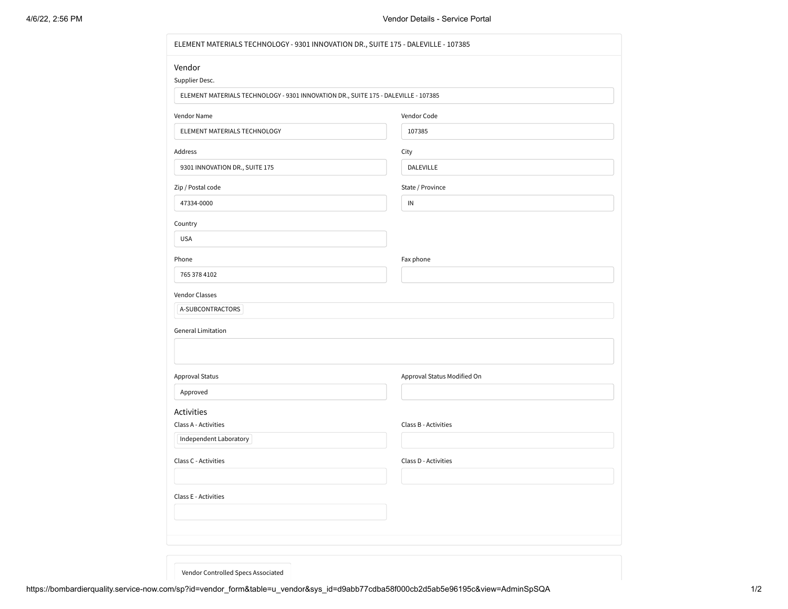| ELEMENT MATERIALS TECHNOLOGY - 9301 INNOVATION DR., SUITE 175 - DALEVILLE - 107385 |                             |  |  |
|------------------------------------------------------------------------------------|-----------------------------|--|--|
| Vendor                                                                             |                             |  |  |
| Supplier Desc.                                                                     |                             |  |  |
| ELEMENT MATERIALS TECHNOLOGY - 9301 INNOVATION DR., SUITE 175 - DALEVILLE - 107385 |                             |  |  |
| Vendor Name                                                                        | Vendor Code                 |  |  |
| ELEMENT MATERIALS TECHNOLOGY                                                       | 107385                      |  |  |
| Address                                                                            | City                        |  |  |
| 9301 INNOVATION DR., SUITE 175                                                     | DALEVILLE                   |  |  |
| Zip / Postal code                                                                  | State / Province            |  |  |
| 47334-0000                                                                         | ${\sf IN}$                  |  |  |
| Country                                                                            |                             |  |  |
| <b>USA</b>                                                                         |                             |  |  |
| Phone                                                                              | Fax phone                   |  |  |
| 765 378 4102                                                                       |                             |  |  |
| Vendor Classes                                                                     |                             |  |  |
| A-SUBCONTRACTORS                                                                   |                             |  |  |
| <b>General Limitation</b>                                                          |                             |  |  |
|                                                                                    |                             |  |  |
| Approval Status                                                                    | Approval Status Modified On |  |  |
| Approved                                                                           |                             |  |  |
| Activities                                                                         |                             |  |  |
| Class A - Activities                                                               | Class B - Activities        |  |  |
| Independent Laboratory                                                             |                             |  |  |
| Class C - Activities                                                               | Class D - Activities        |  |  |
|                                                                                    |                             |  |  |
| Class E - Activities                                                               |                             |  |  |
|                                                                                    |                             |  |  |
|                                                                                    |                             |  |  |
|                                                                                    |                             |  |  |
|                                                                                    |                             |  |  |

Vendor Controlled Specs Associated